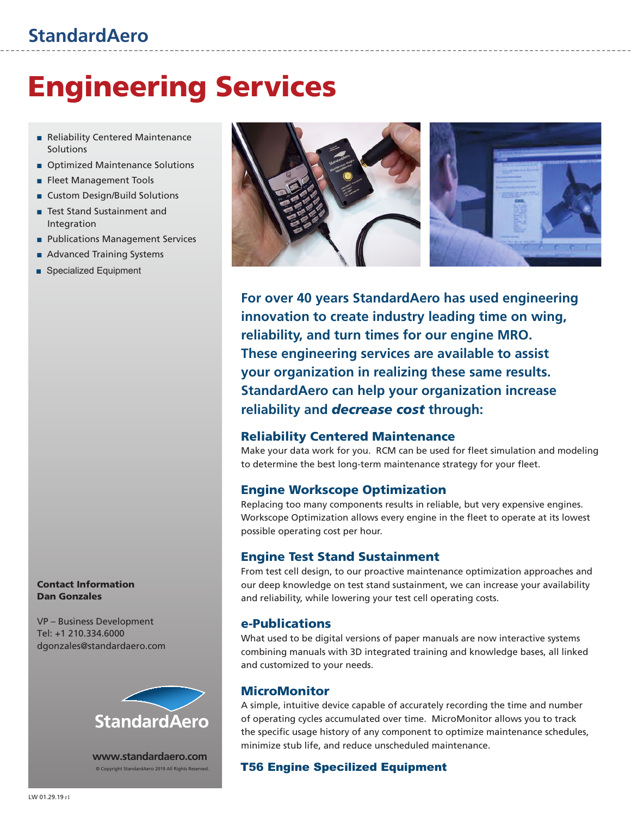## **StandardAero**

# Engineering Services

- Reliability Centered Maintenance Solutions
- **n** Optimized Maintenance Solutions
- **Fleet Management Tools**
- Custom Design/Build Solutions
- Test Stand Sustainment and Integration
- Publications Management Services
- Advanced Training Systems
- **n** Specialized Equipment



VP – Business Development Tel: +1 210.334.6000 dgonzales@standardaero.com



**www.standardaero.com** © Copyright StandardAero 2019 All Rights Reserved.



**For over 40 years StandardAero has used engineering innovation to create industry leading time on wing, reliability, and turn times for our engine MRO. These engineering services are available to assist your organization in realizing these same results. StandardAero can help your organization increase reliability and** *decrease cost* **through:**

### Reliability Centered Maintenance

Make your data work for you. RCM can be used for fleet simulation and modeling to determine the best long-term maintenance strategy for your fleet.

### Engine Workscope Optimization

Replacing too many components results in reliable, but very expensive engines. Workscope Optimization allows every engine in the fleet to operate at its lowest possible operating cost per hour.

### Engine Test Stand Sustainment

From test cell design, to our proactive maintenance optimization approaches and our deep knowledge on test stand sustainment, we can increase your availability and reliability, while lowering your test cell operating costs.

#### e-Publications

What used to be digital versions of paper manuals are now interactive systems combining manuals with 3D integrated training and knowledge bases, all linked and customized to your needs.

### **MicroMonitor**

A simple, intuitive device capable of accurately recording the time and number of operating cycles accumulated over time. MicroMonitor allows you to track the specific usage history of any component to optimize maintenance schedules, minimize stub life, and reduce unscheduled maintenance.

### T56 Engine Specilized Equipment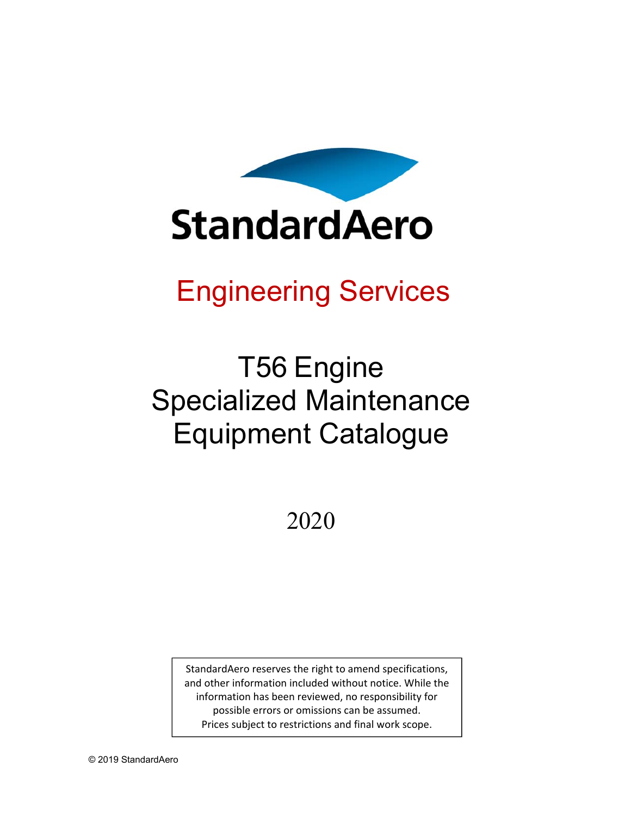

## Engineering Services

## T56 Engine Specialized Maintenance Equipment Catalogue

2020

StandardAero reserves the right to amend specifications, and other information included without notice. While the information has been reviewed, no responsibility for possible errors or omissions can be assumed. Prices subject to restrictions and final work scope.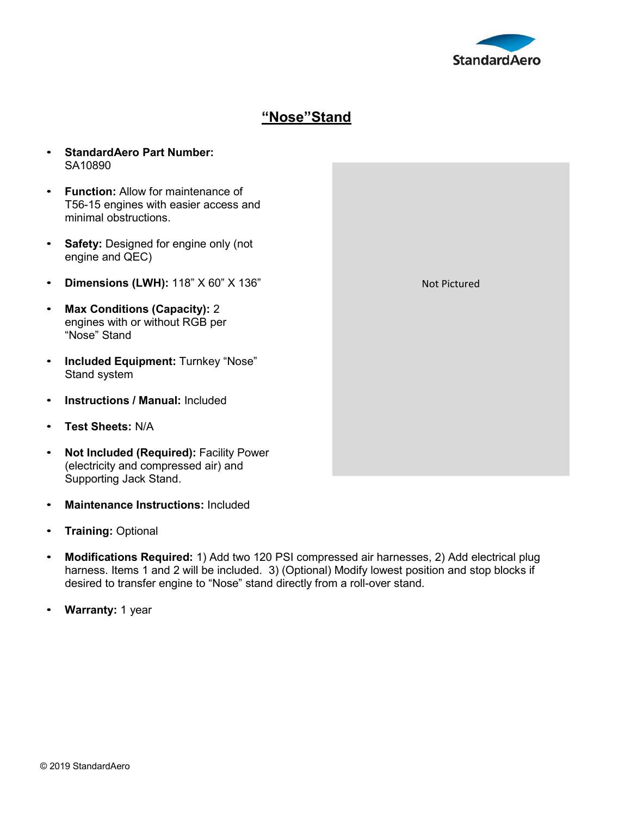

## **"Nose"Stand**

- **StandardAero Part Number:**  SA10890
- **Function:** Allow for maintenance of T56-15 engines with easier access and minimal obstructions.
- **Safety:** Designed for engine only (not engine and QEC)
- **Dimensions (LWH):** 118" X 60" X 136"
- **Max Conditions (Capacity):** 2 engines with or without RGB per "Nose" Stand
- **Included Equipment:** Turnkey "Nose" Stand system
- **Instructions / Manual:** Included
- **Test Sheets:** N/A
- **Not Included (Required):** Facility Power (electricity and compressed air) and Supporting Jack Stand.
- **Maintenance Instructions:** Included
- **Training:** Optional
- **Modifications Required:** 1) Add two 120 PSI compressed air harnesses, 2) Add electrical plug harness. Items 1 and 2 will be included. 3) (Optional) Modify lowest position and stop blocks if desired to transfer engine to "Nose" stand directly from a roll-over stand.
- **Warranty:** 1 year

Not Pictured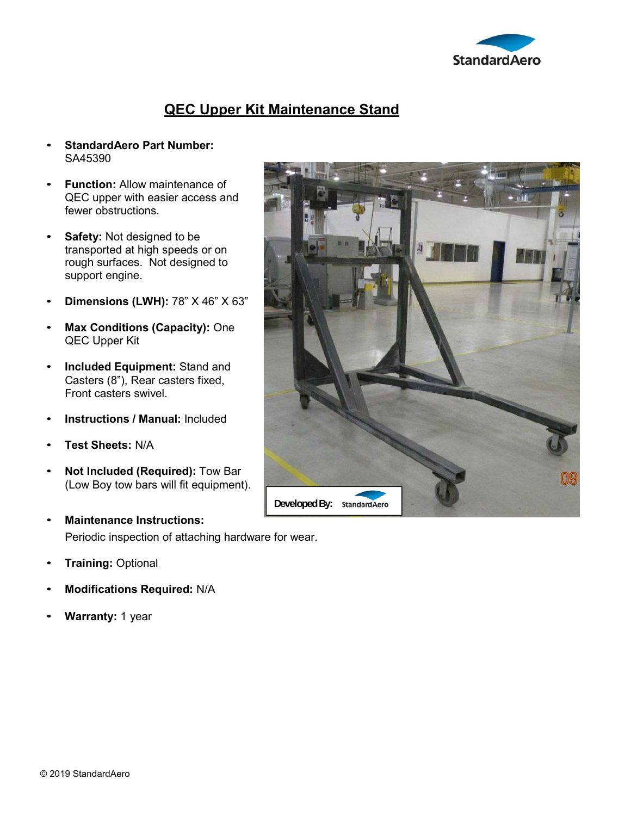

## **QEC Upper Kit Maintenance Stand**

- **StandardAero Part Number:** SA45390
- **Function:** Allow maintenance of QEC upper with easier access and fewer obstructions.
- **Safety:** Not designed to be transported at high speeds or on rough surfaces. Not designed to support engine.
- **Dimensions (LWH):** 78" X 46" X 63"
- **Max Conditions (Capacity):** One QEC Upper Kit
- **Included Equipment:** Stand and Casters (8"), Rear casters fixed, Front casters swivel.
- **Instructions / Manual:** Included
- **Test Sheets:** N/A
- **Not Included (Required):** Tow Bar (Low Boy tow bars will fit equipment).
- **Maintenance Instructions:**  Periodic inspection of attaching hardware for wear.
- **Training:** Optional
- **Modifications Required:** N/A
- **Warranty:** 1 year

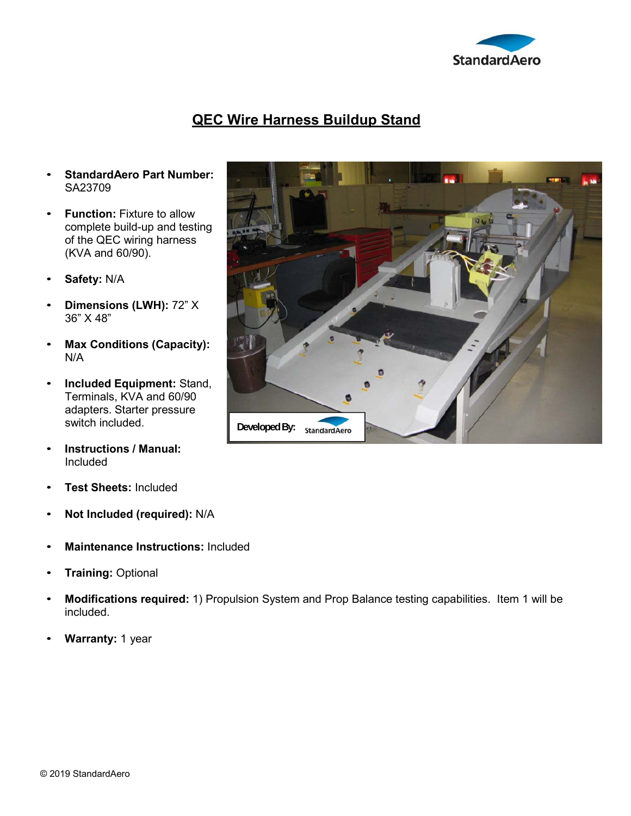![](_page_4_Picture_0.jpeg)

## **QEC Wire Harness Buildup Stand**

- **StandardAero Part Number:** SA23709
- **Function:** Fixture to allow complete build-up and testing of the QEC wiring harness (KVA and 60/90).
- **Safety:** N/A
- **Dimensions (LWH):** 72" X 36" X 48"
- **Max Conditions (Capacity):** N/A
- **Included Equipment:** Stand, Terminals, KVA and 60/90 adapters. Starter pressure switch included.
- **Instructions / Manual:** Included
- **Test Sheets:** Included
- **Not Included (required):** N/A
- **Maintenance Instructions:** Included
- **Training:** Optional
- **Modifications required:** 1) Propulsion System and Prop Balance testing capabilities. Item 1 will be included.
- **Warranty:** 1 year

![](_page_4_Picture_15.jpeg)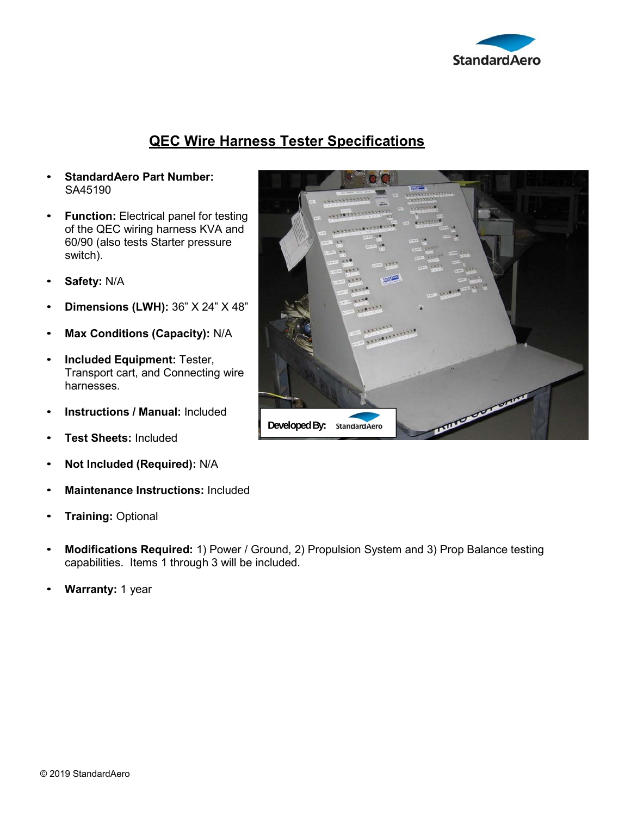![](_page_5_Picture_0.jpeg)

## **QEC Wire Harness Tester Specifications**

- **StandardAero Part Number:** SA45190
- **Function:** Electrical panel for testing of the QEC wiring harness KVA and 60/90 (also tests Starter pressure switch).
- **Safety:** N/A
- **Dimensions (LWH):** 36" X 24" X 48"
- **Max Conditions (Capacity):** N/A
- **Included Equipment:** Tester, Transport cart, and Connecting wire harnesses.
- **Instructions / Manual:** Included
- **Test Sheets:** Included
- **Not Included (Required):** N/A
- **Maintenance Instructions:** Included
- **Training:** Optional
- **Modifications Required:** 1) Power / Ground, 2) Propulsion System and 3) Prop Balance testing capabilities. Items 1 through 3 will be included.
- **Warranty:** 1 year

| With and<br><b>MARKAANAMAR</b><br>194.9                                                                             |
|---------------------------------------------------------------------------------------------------------------------|
| $-0.1$<br><b>ART</b><br>$-100$<br><b><i><u>AAAAAAAA</u></i></b><br>Œ                                                |
| W(1)<br>$\overline{a}$                                                                                              |
| <b>COLL VO</b><br><b>ROAD AVAIL</b><br>$6.798$ PC<br><b>VYV)</b><br><b>Callery</b>                                  |
| 1977<br><b>VYVY</b><br><b>TEGS</b><br>7000<br>polarity.<br>1449<br><b>A MON</b><br><b>HELV</b><br><b>Contra Add</b> |
| <b>CALL TOO</b><br><b>GALLY</b>                                                                                     |
|                                                                                                                     |
|                                                                                                                     |
|                                                                                                                     |
| <b>ENTER OF OCEAN</b><br>Developed By:<br><b>StandardAero</b>                                                       |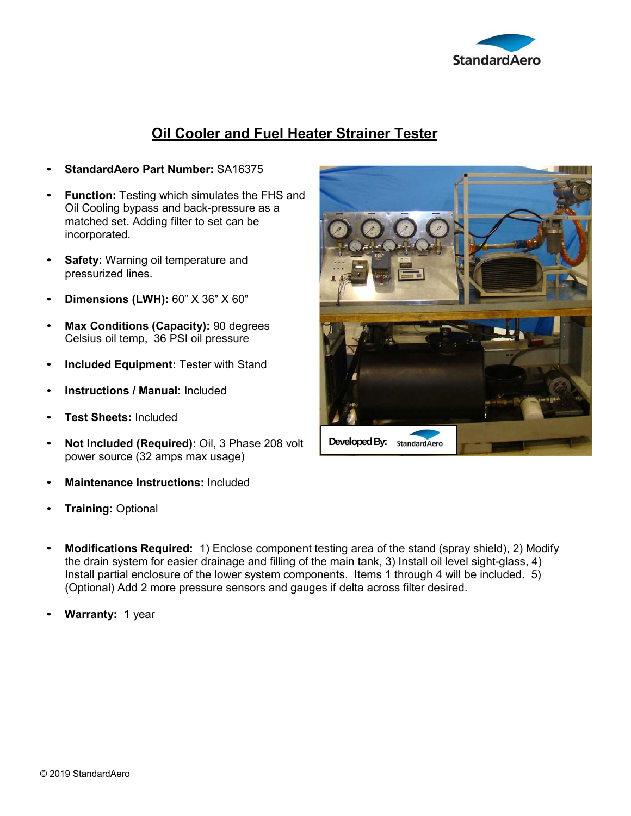![](_page_6_Picture_0.jpeg)

### **Oil Cooler and Fuel Heater Strainer Tester**

- **StandardAero Part Number:** SA16375
- **Function:** Testing which simulates the FHS and Oil Cooling bypass and back-pressure as a matched set. Adding filter to set can be incorporated.
- **Safety:** Warning oil temperature and pressurized lines.
- **Dimensions (LWH):** 60" X 36" X 60"
- **Max Conditions (Capacity):** 90 degrees Celsius oil temp, 36 PSI oil pressure
- **Included Equipment:** Tester with Stand
- **Instructions / Manual:** Included
- **Test Sheets:** Included
- **Not Included (Required):** Oil, 3 Phase 208 volt power source (32 amps max usage)
- **Maintenance Instructions:** Included
- **Training:** Optional

![](_page_6_Picture_13.jpeg)

- **Modifications Required:** 1) Enclose component testing area of the stand (spray shield), 2) Modify the drain system for easier drainage and filling of the main tank, 3) Install oil level sight-glass, 4) Install partial enclosure of the lower system components. Items 1 through 4 will be included. 5) (Optional) Add 2 more pressure sensors and gauges if delta across filter desired.
- **Warranty:** 1 year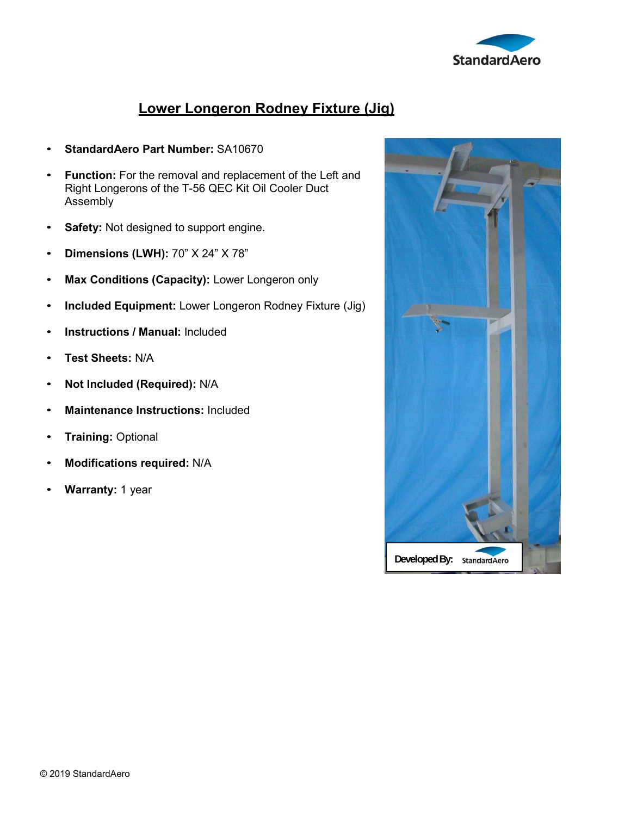![](_page_7_Picture_0.jpeg)

## **Lower Longeron Rodney Fixture (Jig)**

- **StandardAero Part Number:** SA10670
- **Function:** For the removal and replacement of the Left and Right Longerons of the T-56 QEC Kit Oil Cooler Duct Assembly
- **Safety:** Not designed to support engine.
- **Dimensions (LWH):** 70" X 24" X 78"
- **Max Conditions (Capacity):** Lower Longeron only
- **Included Equipment:** Lower Longeron Rodney Fixture (Jig)
- **Instructions / Manual:** Included
- **Test Sheets:** N/A
- **Not Included (Required):** N/A
- **Maintenance Instructions:** Included
- **Training:** Optional
- **Modifications required:** N/A
- **Warranty:** 1 year

![](_page_7_Picture_15.jpeg)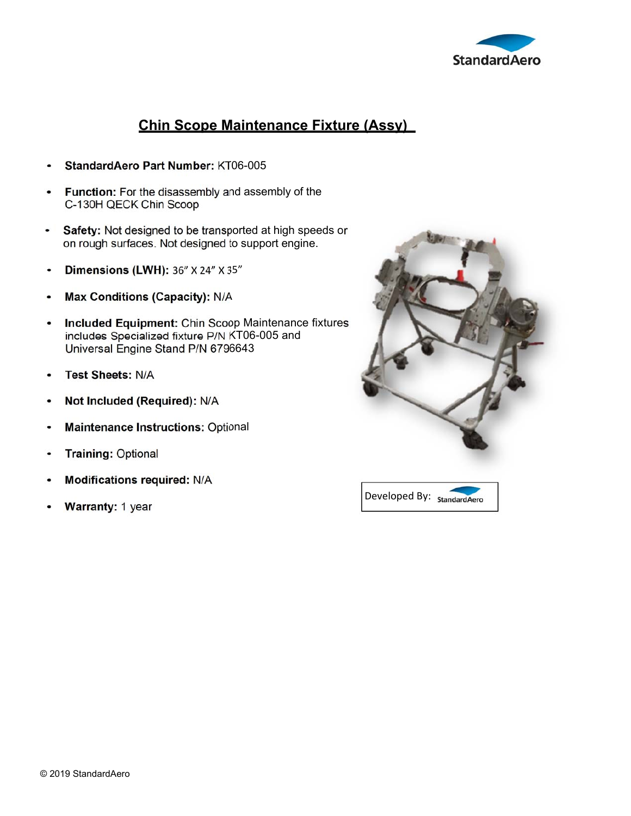![](_page_8_Picture_0.jpeg)

### **Chin Scope Maintenance Fixture (Assy)**

- **StandardAero Part Number:** KT06-005
- **Function:** For the disassembly and assembly of the C-130H QECK Chin Scoop
- **Safety:** Not designed to be transported at high speeds or on rough surfaces. Not designed to support engine.
- **Dimensions (LWH):** 36" X 24" X 35"
- **Max Conditions (Capacity):** N/A
- **Included Equipment:** Chin Scoop Maintenance fixtures includes Specialized fixture P/N KT06-005 and Universal Engine Stand P/N 6796643
- **Test Sheets:** N/A
- **Not Included (Required):** N/A
- **Maintenance Instructions:** Optional
- **Training:** Optional
- **Modifications required:** N/A
- 

![](_page_8_Picture_14.jpeg)

![](_page_8_Picture_15.jpeg)